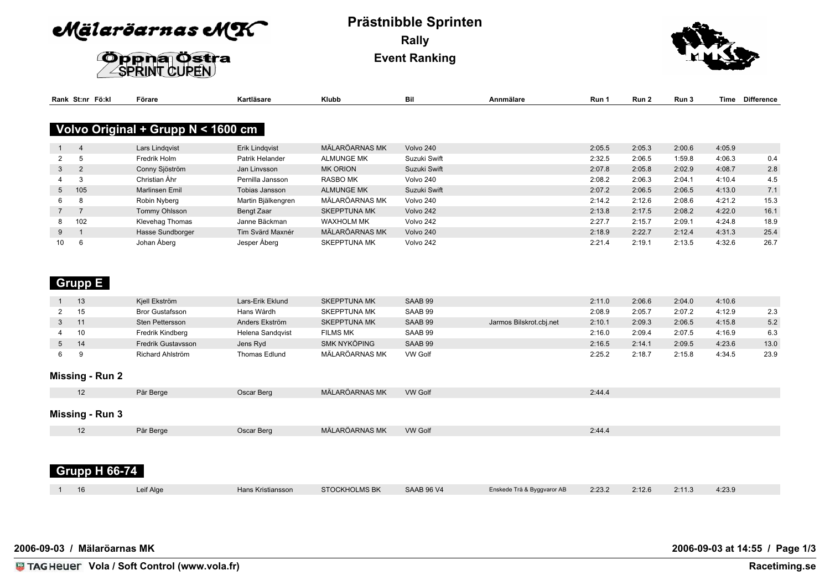Mälaröarnas MK



## **Prästnibble Sprinten Rally Event Ranking**



|                 | Rank St:nr Fö:kl | Förare                             | Kartläsare         | Klubb               | Bil          | Annmälare | Run 1  | Run 2  | Run 3  | Time   | <b>Difference</b> |
|-----------------|------------------|------------------------------------|--------------------|---------------------|--------------|-----------|--------|--------|--------|--------|-------------------|
|                 |                  | Volvo Original + Grupp N < 1600 cm |                    |                     |              |           |        |        |        |        |                   |
|                 |                  |                                    |                    |                     |              |           |        |        |        |        |                   |
|                 | 4                | Lars Lindqvist                     | Erik Lindqvist     | MÄLARÖARNAS MK      | Volvo 240    |           | 2:05.5 | 2:05.3 | 2:00.6 | 4:05.9 |                   |
|                 |                  | Fredrik Holm                       | Patrik Helander    | <b>ALMUNGE MK</b>   | Suzuki Swift |           | 2:32.5 | 2:06.5 | 1:59.8 | 4:06.3 | 0.4               |
| 3               | $\overline{2}$   | Conny Sjöström                     | Jan Linvsson       | <b>MK ORION</b>     | Suzuki Swift |           | 2:07.8 | 2:05.8 | 2:02.9 | 4:08.7 | 2.8               |
|                 |                  | Christian Åhr                      | Pernilla Jansson   | <b>RASBO MK</b>     | Volvo 240    |           | 2:08.2 | 2:06.3 | 2:04.1 | 4:10.4 | 4.5               |
| 5 <sub>5</sub>  | 105              | <b>Marlinsen Emil</b>              | Tobias Jansson     | <b>ALMUNGE MK</b>   | Suzuki Swift |           | 2:07.2 | 2:06.5 | 2:06.5 | 4:13.0 | 7.1               |
| 6               | א                | Robin Nyberg                       | Martin Bjälkengren | MÄLARÖARNAS MK      | Volvo 240    |           | 2:14.2 | 2:12.6 | 2:08.6 | 4:21.2 | 15.3              |
| $\overline{7}$  |                  | Tommy Ohlsson                      | Bengt Zaar         | <b>SKEPPTUNA MK</b> | Volvo 242    |           | 2:13.8 | 2:17.5 | 2:08.2 | 4:22.0 | 16.1              |
| 8               | 102              | Klevehag Thomas                    | Janne Bäckman      | <b>WAXHOLM MK</b>   | Volvo 242    |           | 2:27.7 | 2:15.7 | 2:09.1 | 4:24.8 | 18.9              |
| 9               |                  | Hasse Sundborger                   | Tim Svärd Maxnér   | MÄLARÖARNAS MK      | Volvo 240    |           | 2:18.9 | 2:22.7 | 2:12.4 | 4:31.3 | 25.4              |
| 10 <sup>°</sup> | 'n               | Johan Åberg                        | Jesper Åberg       | <b>SKEPPTUNA MK</b> | Volvo 242    |           | 2:21.4 | 2:19.1 | 2:13.5 | 4:32.6 | 26.7              |

### **Grupp E**

|             | 13 | Kiell Ekström             | Lars-Erik Eklund | <b>SKEPPTUNA MK</b> | SAAB 99        |                         | 2:11.0 | 2:06.6 | 2:04.0 | 4:10.6 |      |
|-------------|----|---------------------------|------------------|---------------------|----------------|-------------------------|--------|--------|--------|--------|------|
|             | 15 | <b>Bror Gustafsson</b>    | Hans Wårdh       | <b>SKEPPTUNA MK</b> | SAAB 99        |                         | 2:08.9 | 2:05.7 | 2:07.2 | 4:12.9 | 2.3  |
|             |    | Sten Pettersson           | Anders Ekström   | <b>SKEPPTUNA MK</b> | SAAB 99        | Jarmos Bilskrot.cbj.net | 2:10.1 | 2:09.3 | 2:06.5 | 4:15.8 | 5.2  |
|             | 10 | Fredrik Kindberg          | Helena Sandqvist | <b>FILMS MK</b>     | SAAB 99        |                         | 2:16.0 | 2:09.4 | 2:07.5 | 4:16.9 | 6.3  |
| $5^{\circ}$ | 14 | <b>Fredrik Gustavsson</b> | Jens Ryd         | SMK NYKÖPING        | SAAB 99        |                         | 2:16.5 | 2:14.1 | 2:09.5 | 4:23.6 | 13.0 |
|             |    | Richard Ahlström          | Thomas Edlund    | MÄLARÖARNAS MK      | <b>VW Golf</b> |                         | 2:25.2 | 2:18.  | 2:15.8 | 4:34.5 | 23.9 |

#### **Missing - Run 2**

| $\cdots$               |           |                   |                      |                   |                            |        |        |        |        |  |
|------------------------|-----------|-------------------|----------------------|-------------------|----------------------------|--------|--------|--------|--------|--|
| 12                     | Pär Berge | Oscar Berg        | MÄLARÖARNAS MK       | <b>VW Golf</b>    |                            | 2:44.4 |        |        |        |  |
| <b>Missing - Run 3</b> |           |                   |                      |                   |                            |        |        |        |        |  |
| 12                     | Pär Berge | Oscar Berg        | MÄLARÖARNAS MK       | <b>VW Golf</b>    |                            | 2:44.4 |        |        |        |  |
|                        |           |                   |                      |                   |                            |        |        |        |        |  |
|                        |           |                   |                      |                   |                            |        |        |        |        |  |
| <b>Grupp H 66-74</b>   |           |                   |                      |                   |                            |        |        |        |        |  |
| 16                     | Leif Alge | Hans Kristiansson | <b>STOCKHOLMS BK</b> | <b>SAAB 96 V4</b> | Enskede Trä & Byggvaror AB | 2:23.2 | 2:12.6 | 2:11.3 | 4:23.9 |  |

**2006-09-03 / Mälaröarnas MK**

**2006-09-03 at 14:55 / Page 1/3**

**Vola / Soft Control (www.vola.fr) Racetiming.se**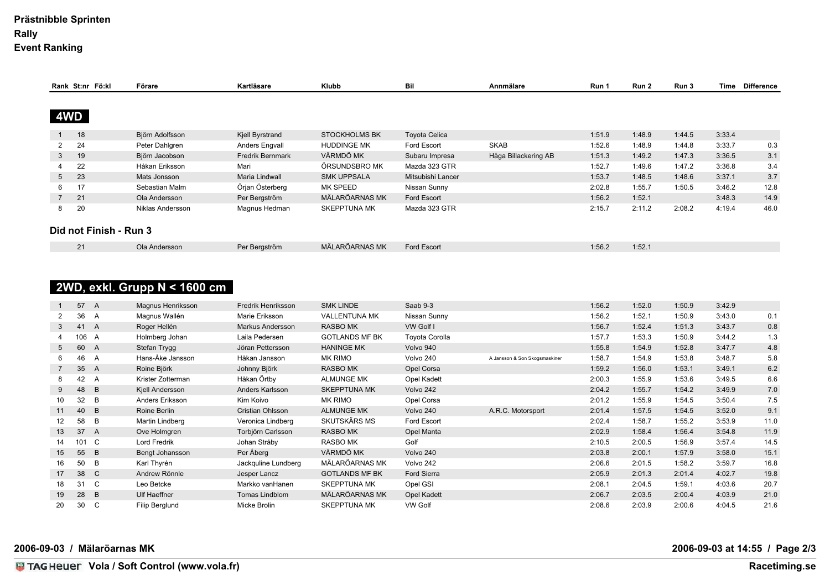### **Prästnibble Sprinten Rally Event Ranking**

|                | Rank St:nr Fö:kl       | Förare           | Kartläsare              | <b>Klubb</b>         | Bil                  | Annmälare            | Run 1  | Run 2  | Run 3  | Time   | <b>Difference</b> |
|----------------|------------------------|------------------|-------------------------|----------------------|----------------------|----------------------|--------|--------|--------|--------|-------------------|
|                |                        |                  |                         |                      |                      |                      |        |        |        |        |                   |
| 4WD            |                        |                  |                         |                      |                      |                      |        |        |        |        |                   |
| $\mathbf{1}$   | 18                     | Björn Adolfsson  | Kjell Byrstrand         | <b>STOCKHOLMS BK</b> | <b>Toyota Celica</b> |                      | 1:51.9 | 1:48.9 | 1:44.5 | 3:33.4 |                   |
| $\overline{2}$ | 24                     | Peter Dahlgren   | Anders Engvall          | <b>HUDDINGE MK</b>   | Ford Escort          | <b>SKAB</b>          | 1:52.6 | 1:48.9 | 1:44.8 | 3:33.7 | 0.3               |
| 3              | 19                     | Björn Jacobson   | <b>Fredrik Bernmark</b> | VÄRMDÖ MK            | Subaru Impresa       | Håga Billackering AB | 1:51.3 | 1:49.2 | 1:47.3 | 3:36.5 | 3.1               |
|                | 22                     | Håkan Eriksson   | Mari                    | ÖRSUNDSBRO MK        | Mazda 323 GTR        |                      | 1:52.7 | 1:49.6 | 1:47.2 | 3:36.8 | 3.4               |
| 5 <sup>5</sup> | 23                     | Mats Jonsson     | Maria Lindwall          | <b>SMK UPPSALA</b>   | Mitsubishi Lancer    |                      | 1:53.7 | 1:48.5 | 1:48.6 | 3:37.1 | 3.7               |
| 6              | 17                     | Sebastian Malm   | Örjan Österberg         | <b>MK SPEED</b>      | Nissan Sunny         |                      | 2:02.8 | 1:55.7 | 1:50.5 | 3:46.2 | 12.8              |
| $7^{\circ}$    | 21                     | Ola Andersson    | Per Bergström           | MÄLARÖARNAS MK       | Ford Escort          |                      | 1:56.2 | 1:52.1 |        | 3:48.3 | 14.9              |
| 8              | 20                     | Niklas Andersson | Magnus Hedman           | <b>SKEPPTUNA MK</b>  | Mazda 323 GTR        |                      | 2:15.7 | 2:11.2 | 2:08.2 | 4:19.4 | 46.0              |
|                | Did not Finish - Run 3 |                  |                         |                      |                      |                      |        |        |        |        |                   |
|                | 21                     | Ola Andersson    | Per Bergström           | MÄLARÖARNAS MK       | Ford Escort          |                      | 1:56.2 | 1:52.1 |        |        |                   |

# **2WD, exkl. Grupp N < 1600 cm**

|                | 57 A  |                | Magnus Henriksson   | Fredrik Henriksson  | <b>SMK LINDE</b>      | Saab 9-3         |                               | 1:56.2 | 1:52.0 | 1:50.9 | 3:42.9 |      |
|----------------|-------|----------------|---------------------|---------------------|-----------------------|------------------|-------------------------------|--------|--------|--------|--------|------|
| $\overline{2}$ | 36    | A              | Magnus Wallén       | Marie Eriksson      | VALLENTUNA MK         | Nissan Sunny     |                               | 1:56.2 | 1:52.1 | 1:50.9 | 3:43.0 | 0.1  |
| 3              | 41 A  |                | Roger Hellén        | Markus Andersson    | <b>RASBO MK</b>       | <b>VW Golf I</b> |                               | 1:56.7 | 1:52.4 | 1:51.3 | 3:43.7 | 0.8  |
| 4              | 106 A |                | Holmberg Johan      | Laila Pedersen      | <b>GOTLANDS MF BK</b> | Toyota Corolla   |                               | 1:57.7 | 1:53.3 | 1:50.9 | 3:44.2 | 1.3  |
| 5              | 60 A  |                | Stefan Trygg        | Jöran Pettersson    | <b>HANINGE MK</b>     | Volvo 940        |                               | 1:55.8 | 1:54.9 | 1:52.8 | 3:47.7 | 4.8  |
| 6              | 46    | $\overline{A}$ | Hans-Åke Jansson    | Håkan Jansson       | <b>MK RIMO</b>        | Volvo 240        | A Jansson & Son Skogsmaskiner | 1:58.7 | 1:54.9 | 1:53.8 | 3:48.7 | 5.8  |
| $\overline{7}$ | 35    | <b>A</b>       | Roine Björk         | Johnny Björk        | <b>RASBO MK</b>       | Opel Corsa       |                               | 1:59.2 | 1:56.0 | 1:53.1 | 3:49.1 | 6.2  |
| 8              | 42    | A              | Krister Zotterman   | Håkan Örtby         | <b>ALMUNGE MK</b>     | Opel Kadett      |                               | 2:00.3 | 1:55.9 | 1:53.6 | 3:49.5 | 6.6  |
| 9              | 48    | B              | Kjell Andersson     | Anders Karlsson     | <b>SKEPPTUNA MK</b>   | Volvo 242        |                               | 2:04.2 | 1:55.7 | 1:54.2 | 3:49.9 | 7.0  |
| 10             | 32    | B              | Anders Eriksson     | Kim Koivo           | <b>MK RIMO</b>        | Opel Corsa       |                               | 2:01.2 | 1:55.9 | 1:54.5 | 3:50.4 | 7.5  |
| 11             | 40    | B              | Roine Berlin        | Cristian Ohlsson    | <b>ALMUNGE MK</b>     | Volvo 240        | A.R.C. Motorsport             | 2:01.4 | 1:57.5 | 1:54.5 | 3:52.0 | 9.1  |
| 12             | 58    | B              | Martin Lindberg     | Veronica Lindberg   | SKUTSKÄRS MS          | Ford Escort      |                               | 2:02.4 | 1:58.7 | 1:55.2 | 3:53.9 | 11.0 |
| 13             | 37    | A              | Ove Holmgren        | Torbjörn Carlsson   | <b>RASBO MK</b>       | Opel Manta       |                               | 2:02.9 | 1:58.4 | 1:56.4 | 3:54.8 | 11.9 |
| 14             | 101 C |                | <b>Lord Fredrik</b> | Johan Stråby        | <b>RASBO MK</b>       | Golf             |                               | 2:10.5 | 2:00.5 | 1:56.9 | 3:57.4 | 14.5 |
| 15             | 55    | B              | Bengt Johansson     | Per Åberg           | VÄRMDÖ MK             | Volvo 240        |                               | 2:03.8 | 2:00.1 | 1:57.9 | 3:58.0 | 15.1 |
| 16             | 50    | B              | Karl Thyrén         | Jackguline Lundberg | MÄLARÖARNAS MK        | Volvo 242        |                               | 2:06.6 | 2:01.5 | 1:58.2 | 3:59.7 | 16.8 |
| 17             | 38 C  |                | Andrew Rönnle       | Jesper Lancz        | <b>GOTLANDS MF BK</b> | Ford Sierra      |                               | 2:05.9 | 2:01.3 | 2:01.4 | 4:02.7 | 19.8 |
| 18             | 31    | C <sub>1</sub> | Leo Betcke          | Markko vanHanen     | <b>SKEPPTUNA MK</b>   | Opel GSI         |                               | 2:08.1 | 2:04.5 | 1:59.1 | 4:03.6 | 20.7 |
| 19             | 28    | $\overline{B}$ | <b>Ulf Haeffner</b> | Tomas Lindblom      | MÄLARÖARNAS MK        | Opel Kadett      |                               | 2:06.7 | 2:03.5 | 2:00.4 | 4:03.9 | 21.0 |
| 20             | 30    | $\mathbf{C}$   | Filip Berglund      | Micke Brolin        | <b>SKEPPTUNA MK</b>   | <b>VW Golf</b>   |                               | 2:08.6 | 2:03.9 | 2:00.6 | 4:04.5 | 21.6 |
|                |       |                |                     |                     |                       |                  |                               |        |        |        |        |      |

**2006-09-03 / Mälaröarnas MK**

**2006-09-03 at 14:55 / Page 2/3**

**Vola / Soft Control (www.vola.fr) Racetiming.se**